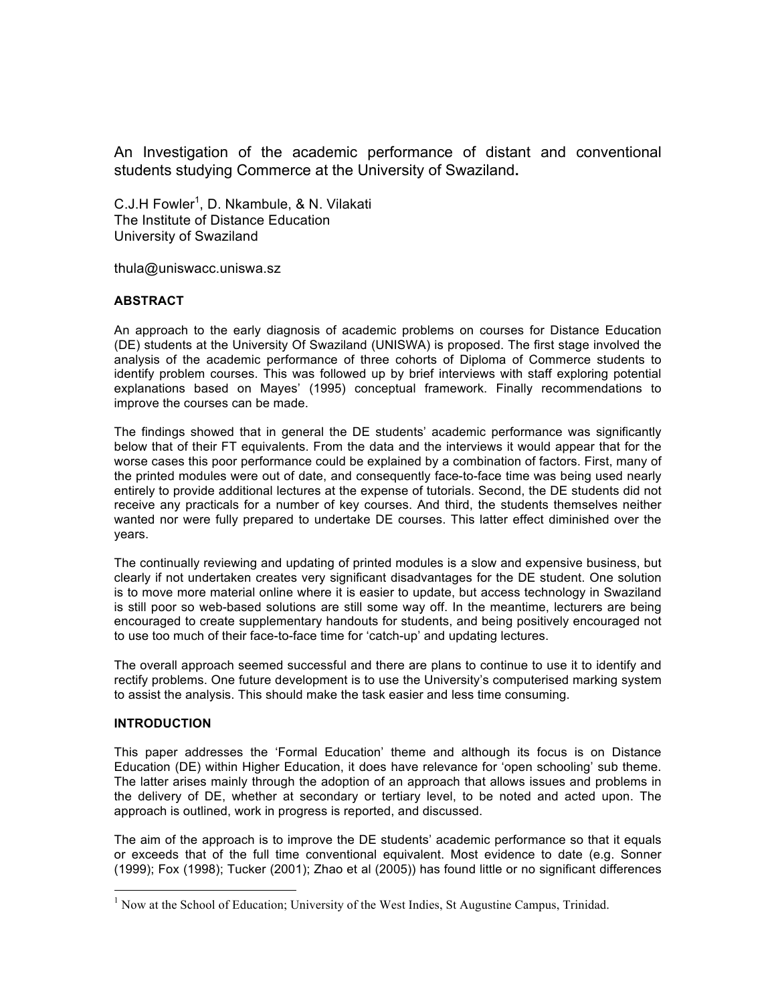An Investigation of the academic performance of distant and conventional students studying Commerce at the University of Swaziland**.**

C.J.H Fowler<sup>1</sup>, D. Nkambule, & N. Vilakati The Institute of Distance Education University of Swaziland

thula@uniswacc.uniswa.sz

#### **ABSTRACT**

An approach to the early diagnosis of academic problems on courses for Distance Education (DE) students at the University Of Swaziland (UNISWA) is proposed. The first stage involved the analysis of the academic performance of three cohorts of Diploma of Commerce students to identify problem courses. This was followed up by brief interviews with staff exploring potential explanations based on Mayes' (1995) conceptual framework. Finally recommendations to improve the courses can be made.

The findings showed that in general the DE students' academic performance was significantly below that of their FT equivalents. From the data and the interviews it would appear that for the worse cases this poor performance could be explained by a combination of factors. First, many of the printed modules were out of date, and consequently face-to-face time was being used nearly entirely to provide additional lectures at the expense of tutorials. Second, the DE students did not receive any practicals for a number of key courses. And third, the students themselves neither wanted nor were fully prepared to undertake DE courses. This latter effect diminished over the years.

The continually reviewing and updating of printed modules is a slow and expensive business, but clearly if not undertaken creates very significant disadvantages for the DE student. One solution is to move more material online where it is easier to update, but access technology in Swaziland is still poor so web-based solutions are still some way off. In the meantime, lecturers are being encouraged to create supplementary handouts for students, and being positively encouraged not to use too much of their face-to-face time for 'catch-up' and updating lectures.

The overall approach seemed successful and there are plans to continue to use it to identify and rectify problems. One future development is to use the University's computerised marking system to assist the analysis. This should make the task easier and less time consuming.

#### **INTRODUCTION**

This paper addresses the 'Formal Education' theme and although its focus is on Distance Education (DE) within Higher Education, it does have relevance for 'open schooling' sub theme. The latter arises mainly through the adoption of an approach that allows issues and problems in the delivery of DE, whether at secondary or tertiary level, to be noted and acted upon. The approach is outlined, work in progress is reported, and discussed.

The aim of the approach is to improve the DE students' academic performance so that it equals or exceeds that of the full time conventional equivalent. Most evidence to date (e.g. Sonner (1999); Fox (1998); Tucker (2001); Zhao et al (2005)) has found little or no significant differences

<sup>&</sup>lt;sup>1</sup> Now at the School of Education; University of the West Indies, St Augustine Campus, Trinidad.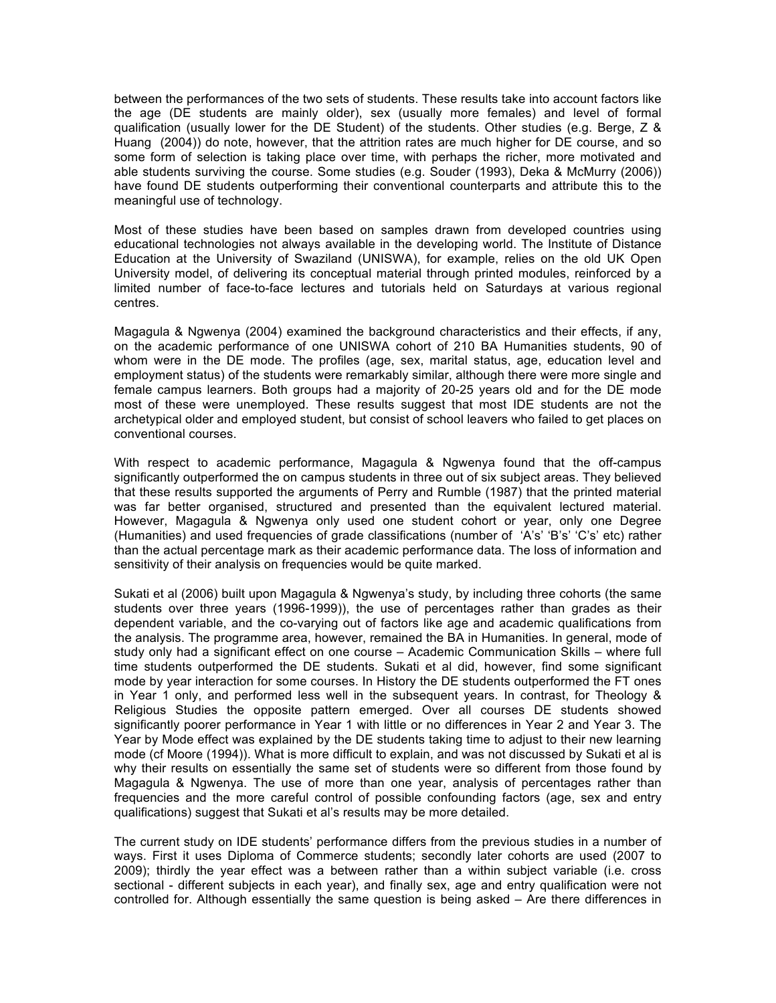between the performances of the two sets of students. These results take into account factors like the age (DE students are mainly older), sex (usually more females) and level of formal qualification (usually lower for the DE Student) of the students. Other studies (e.g. Berge, Z & Huang (2004)) do note, however, that the attrition rates are much higher for DE course, and so some form of selection is taking place over time, with perhaps the richer, more motivated and able students surviving the course. Some studies (e.g. Souder (1993), Deka & McMurry (2006)) have found DE students outperforming their conventional counterparts and attribute this to the meaningful use of technology.

Most of these studies have been based on samples drawn from developed countries using educational technologies not always available in the developing world. The Institute of Distance Education at the University of Swaziland (UNISWA), for example, relies on the old UK Open University model, of delivering its conceptual material through printed modules, reinforced by a limited number of face-to-face lectures and tutorials held on Saturdays at various regional centres.

Magagula & Ngwenya (2004) examined the background characteristics and their effects, if any, on the academic performance of one UNISWA cohort of 210 BA Humanities students, 90 of whom were in the DE mode. The profiles (age, sex, marital status, age, education level and employment status) of the students were remarkably similar, although there were more single and female campus learners. Both groups had a majority of 20-25 years old and for the DE mode most of these were unemployed. These results suggest that most IDE students are not the archetypical older and employed student, but consist of school leavers who failed to get places on conventional courses.

With respect to academic performance, Magagula & Ngwenya found that the off-campus significantly outperformed the on campus students in three out of six subject areas. They believed that these results supported the arguments of Perry and Rumble (1987) that the printed material was far better organised, structured and presented than the equivalent lectured material. However, Magagula & Ngwenya only used one student cohort or year, only one Degree (Humanities) and used frequencies of grade classifications (number of 'A's' 'B's' 'C's' etc) rather than the actual percentage mark as their academic performance data. The loss of information and sensitivity of their analysis on frequencies would be quite marked.

Sukati et al (2006) built upon Magagula & Ngwenya's study, by including three cohorts (the same students over three years (1996-1999)), the use of percentages rather than grades as their dependent variable, and the co-varying out of factors like age and academic qualifications from the analysis. The programme area, however, remained the BA in Humanities. In general, mode of study only had a significant effect on one course – Academic Communication Skills – where full time students outperformed the DE students. Sukati et al did, however, find some significant mode by year interaction for some courses. In History the DE students outperformed the FT ones in Year 1 only, and performed less well in the subsequent years. In contrast, for Theology & Religious Studies the opposite pattern emerged. Over all courses DE students showed significantly poorer performance in Year 1 with little or no differences in Year 2 and Year 3. The Year by Mode effect was explained by the DE students taking time to adjust to their new learning mode (cf Moore (1994)). What is more difficult to explain, and was not discussed by Sukati et al is why their results on essentially the same set of students were so different from those found by Magagula & Ngwenya. The use of more than one year, analysis of percentages rather than frequencies and the more careful control of possible confounding factors (age, sex and entry qualifications) suggest that Sukati et al's results may be more detailed.

The current study on IDE students' performance differs from the previous studies in a number of ways. First it uses Diploma of Commerce students; secondly later cohorts are used (2007 to 2009); thirdly the year effect was a between rather than a within subject variable (i.e. cross sectional - different subjects in each year), and finally sex, age and entry qualification were not controlled for. Although essentially the same question is being asked – Are there differences in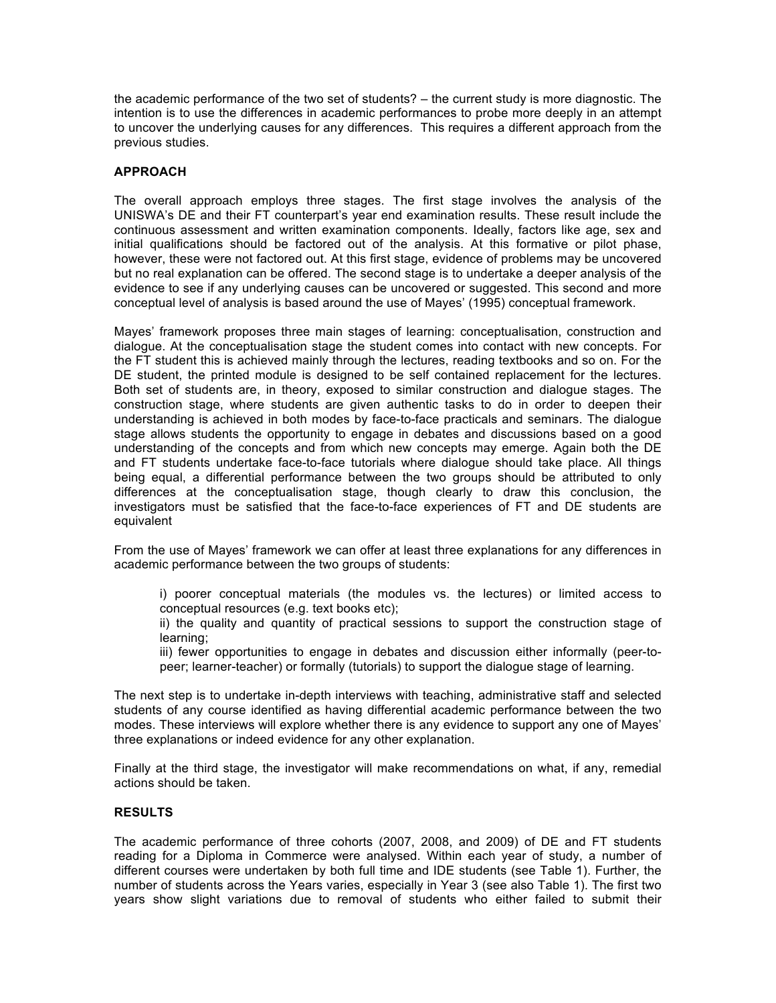the academic performance of the two set of students? – the current study is more diagnostic. The intention is to use the differences in academic performances to probe more deeply in an attempt to uncover the underlying causes for any differences. This requires a different approach from the previous studies.

# **APPROACH**

The overall approach employs three stages. The first stage involves the analysis of the UNISWA's DE and their FT counterpart's year end examination results. These result include the continuous assessment and written examination components. Ideally, factors like age, sex and initial qualifications should be factored out of the analysis. At this formative or pilot phase, however, these were not factored out. At this first stage, evidence of problems may be uncovered but no real explanation can be offered. The second stage is to undertake a deeper analysis of the evidence to see if any underlying causes can be uncovered or suggested. This second and more conceptual level of analysis is based around the use of Mayes' (1995) conceptual framework.

Mayes' framework proposes three main stages of learning: conceptualisation, construction and dialogue. At the conceptualisation stage the student comes into contact with new concepts. For the FT student this is achieved mainly through the lectures, reading textbooks and so on. For the DE student, the printed module is designed to be self contained replacement for the lectures. Both set of students are, in theory, exposed to similar construction and dialogue stages. The construction stage, where students are given authentic tasks to do in order to deepen their understanding is achieved in both modes by face-to-face practicals and seminars. The dialogue stage allows students the opportunity to engage in debates and discussions based on a good understanding of the concepts and from which new concepts may emerge. Again both the DE and FT students undertake face-to-face tutorials where dialogue should take place. All things being equal, a differential performance between the two groups should be attributed to only differences at the conceptualisation stage, though clearly to draw this conclusion, the investigators must be satisfied that the face-to-face experiences of FT and DE students are equivalent

From the use of Mayes' framework we can offer at least three explanations for any differences in academic performance between the two groups of students:

i) poorer conceptual materials (the modules vs. the lectures) or limited access to conceptual resources (e.g. text books etc);

ii) the quality and quantity of practical sessions to support the construction stage of learning;

iii) fewer opportunities to engage in debates and discussion either informally (peer-topeer; learner-teacher) or formally (tutorials) to support the dialogue stage of learning.

The next step is to undertake in-depth interviews with teaching, administrative staff and selected students of any course identified as having differential academic performance between the two modes. These interviews will explore whether there is any evidence to support any one of Mayes' three explanations or indeed evidence for any other explanation.

Finally at the third stage, the investigator will make recommendations on what, if any, remedial actions should be taken.

#### **RESULTS**

The academic performance of three cohorts (2007, 2008, and 2009) of DE and FT students reading for a Diploma in Commerce were analysed. Within each year of study, a number of different courses were undertaken by both full time and IDE students (see Table 1). Further, the number of students across the Years varies, especially in Year 3 (see also Table 1). The first two years show slight variations due to removal of students who either failed to submit their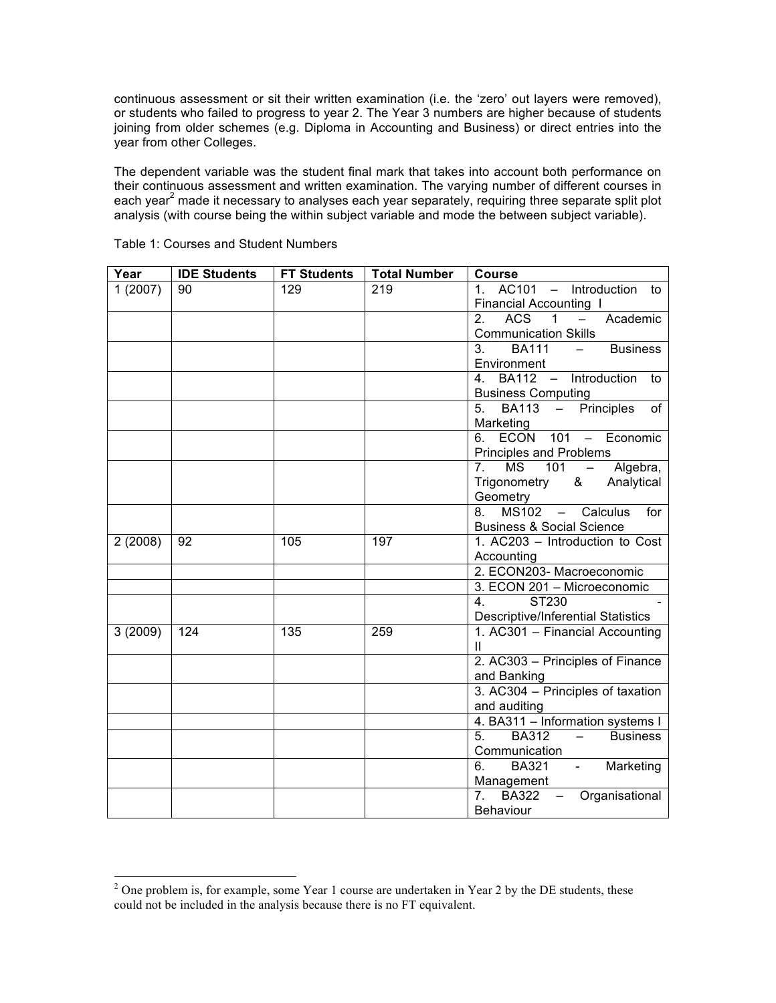continuous assessment or sit their written examination (i.e. the 'zero' out layers were removed), or students who failed to progress to year 2. The Year 3 numbers are higher because of students joining from older schemes (e.g. Diploma in Accounting and Business) or direct entries into the year from other Colleges.

The dependent variable was the student final mark that takes into account both performance on their continuous assessment and written examination. The varying number of different courses in each year<sup>2</sup> made it necessary to analyses each year separately, requiring three separate split plot analysis (with course being the within subject variable and mode the between subject variable).

| Year    | <b>IDE Students</b> | <b>FT Students</b> | <b>Total Number</b> | Course                                                                 |
|---------|---------------------|--------------------|---------------------|------------------------------------------------------------------------|
| 1(2007) | 90                  | 129                | 219                 | AC101 - Introduction to<br>$1_{-}$                                     |
|         |                     |                    |                     | <b>Financial Accounting I</b>                                          |
|         |                     |                    |                     | <b>ACS</b><br>Academic<br>2.<br>1<br>$\equiv$                          |
|         |                     |                    |                     | <b>Communication Skills</b>                                            |
|         |                     |                    |                     | BA111 –<br><b>Business</b><br>3.                                       |
|         |                     |                    |                     | Environment                                                            |
|         |                     |                    |                     | BA112 - Introduction<br>4.<br>to                                       |
|         |                     |                    |                     | <b>Business Computing</b>                                              |
|         |                     |                    |                     | - Principles<br><b>BA113</b><br>of<br>5.                               |
|         |                     |                    |                     | Marketing                                                              |
|         |                     |                    |                     | <b>ECON</b><br>101 - Economic                                          |
|         |                     |                    |                     | Principles and Problems                                                |
|         |                     |                    |                     | <b>MS</b><br>101<br>Algebra,<br>$\frac{1}{2}$<br>7.                    |
|         |                     |                    |                     | Trigonometry<br>& Analytical                                           |
|         |                     |                    |                     | Geometry                                                               |
|         |                     |                    |                     | MS102<br>Calculus<br>for<br>8.<br>$-$                                  |
|         |                     |                    |                     | <b>Business &amp; Social Science</b>                                   |
| 2(2008) | 92                  | 105                | 197                 | 1. AC203 - Introduction to Cost                                        |
|         |                     |                    |                     | Accounting                                                             |
|         |                     |                    |                     | 2. ECON203- Macroeconomic                                              |
|         |                     |                    |                     | 3. ECON 201 - Microeconomic                                            |
|         |                     |                    |                     | ST230<br>4 <sup>1</sup>                                                |
|         |                     |                    |                     | <b>Descriptive/Inferential Statistics</b>                              |
| 3(2009) | 124                 | 135                | 259                 | 1. AC301 - Financial Accounting                                        |
|         |                     |                    |                     | $\mathbf{H}$                                                           |
|         |                     |                    |                     | 2. AC303 - Principles of Finance                                       |
|         |                     |                    |                     | and Banking                                                            |
|         |                     |                    |                     | 3. AC304 - Principles of taxation                                      |
|         |                     |                    |                     | and auditing                                                           |
|         |                     |                    |                     | 4. BA311 - Information systems I                                       |
|         |                     |                    |                     | <b>BA312</b><br>$\sim$ 100 $\sim$<br>5 <sub>1</sub><br><b>Business</b> |
|         |                     |                    |                     | Communication                                                          |
|         |                     |                    |                     | 6.<br><b>BA321</b><br>- Marketing                                      |
|         |                     |                    |                     | Management                                                             |
|         |                     |                    |                     | 7.<br><b>BA322</b><br>Organisational                                   |
|         |                     |                    |                     | Behaviour                                                              |

Table 1: Courses and Student Numbers

<sup>&</sup>lt;sup>2</sup> One problem is, for example, some Year 1 course are undertaken in Year 2 by the DE students, these could not be included in the analysis because there is no FT equivalent.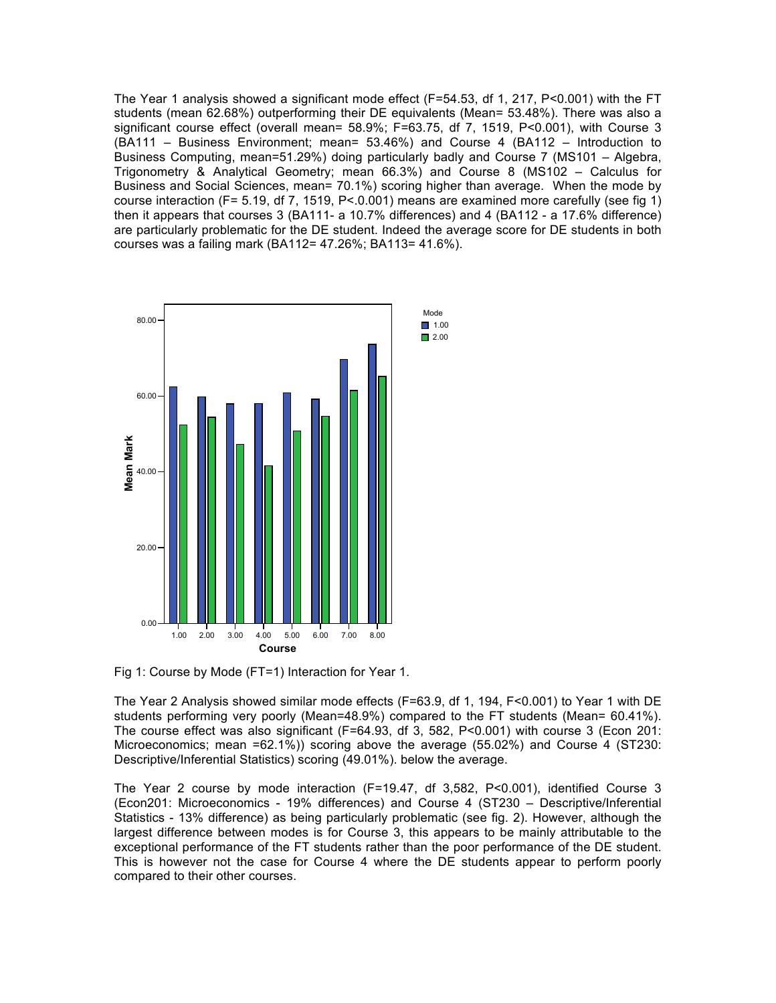The Year 1 analysis showed a significant mode effect (F=54.53, df 1, 217, P<0.001) with the FT students (mean 62.68%) outperforming their DE equivalents (Mean= 53.48%). There was also a significant course effect (overall mean= 58.9%; F=63.75, df 7, 1519, P<0.001), with Course 3 (BA111 – Business Environment; mean= 53.46%) and Course 4 (BA112 – Introduction to Business Computing, mean=51.29%) doing particularly badly and Course 7 (MS101 – Algebra, Trigonometry & Analytical Geometry; mean 66.3%) and Course 8 (MS102 – Calculus for Business and Social Sciences, mean= 70.1%) scoring higher than average. When the mode by course interaction (F= 5.19, df 7, 1519, P<.0.001) means are examined more carefully (see fig 1) then it appears that courses 3 (BA111- a 10.7% differences) and 4 (BA112 - a 17.6% difference) are particularly problematic for the DE student. Indeed the average score for DE students in both courses was a failing mark (BA112= 47.26%; BA113= 41.6%).



Fig 1: Course by Mode (FT=1) Interaction for Year 1.

The Year 2 Analysis showed similar mode effects (F=63.9, df 1, 194, F<0.001) to Year 1 with DE students performing very poorly (Mean=48.9%) compared to the FT students (Mean= 60.41%). The course effect was also significant (F=64.93, df 3, 582, P<0.001) with course 3 (Econ 201: Microeconomics; mean =62.1%)) scoring above the average (55.02%) and Course 4 (ST230: Descriptive/Inferential Statistics) scoring (49.01%). below the average.

The Year 2 course by mode interaction (F=19.47, df 3,582, P<0.001), identified Course 3 (Econ201: Microeconomics - 19% differences) and Course 4 (ST230 – Descriptive/Inferential Statistics - 13% difference) as being particularly problematic (see fig. 2). However, although the largest difference between modes is for Course 3, this appears to be mainly attributable to the exceptional performance of the FT students rather than the poor performance of the DE student. This is however not the case for Course 4 where the DE students appear to perform poorly compared to their other courses.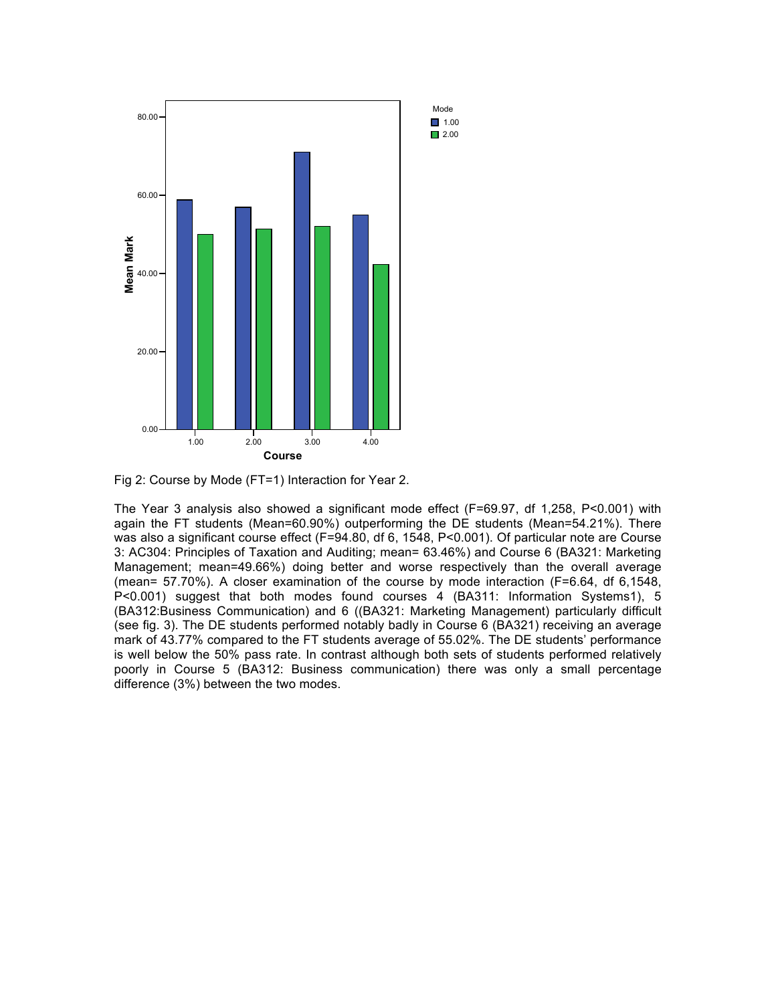

Fig 2: Course by Mode (FT=1) Interaction for Year 2.

The Year 3 analysis also showed a significant mode effect (F=69.97, df 1,258, P<0.001) with again the FT students (Mean=60.90%) outperforming the DE students (Mean=54.21%). There was also a significant course effect (F=94.80, df 6, 1548, P<0.001). Of particular note are Course 3: AC304: Principles of Taxation and Auditing; mean= 63.46%) and Course 6 (BA321: Marketing Management; mean=49.66%) doing better and worse respectively than the overall average (mean= 57.70%). A closer examination of the course by mode interaction (F=6.64, df 6,1548, P<0.001) suggest that both modes found courses 4 (BA311: Information Systems1), 5 (BA312:Business Communication) and 6 ((BA321: Marketing Management) particularly difficult (see fig. 3). The DE students performed notably badly in Course 6 (BA321) receiving an average mark of 43.77% compared to the FT students average of 55.02%. The DE students' performance is well below the 50% pass rate. In contrast although both sets of students performed relatively poorly in Course 5 (BA312: Business communication) there was only a small percentage difference (3%) between the two modes.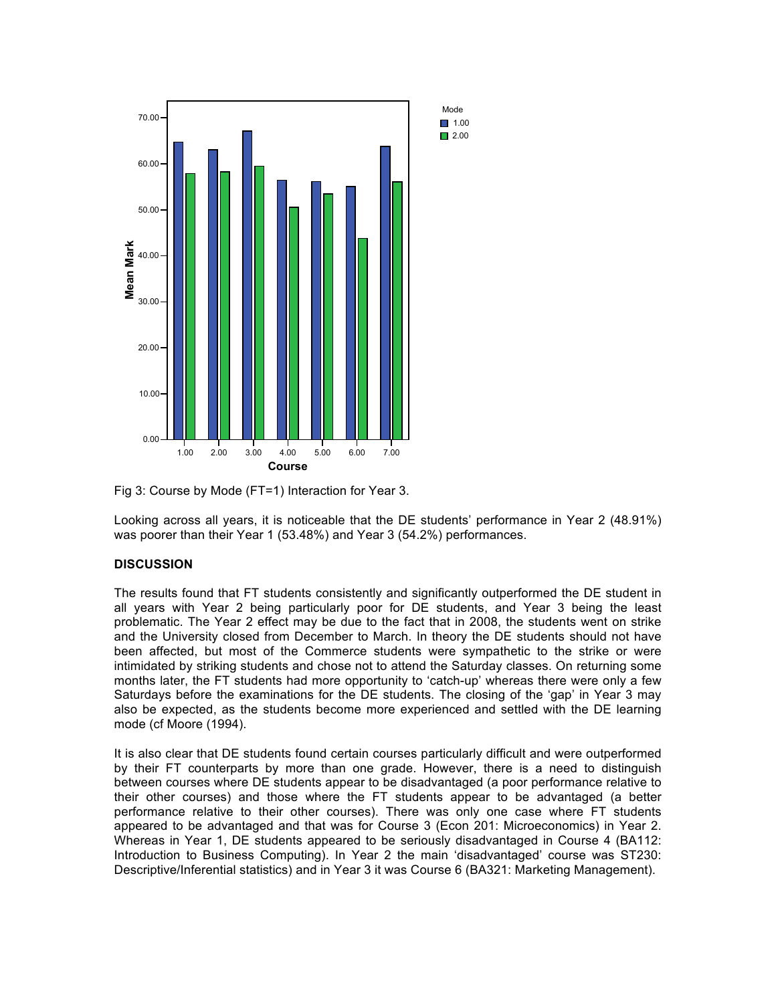

Fig 3: Course by Mode (FT=1) Interaction for Year 3.

Looking across all years, it is noticeable that the DE students' performance in Year 2 (48.91%) was poorer than their Year 1 (53.48%) and Year 3 (54.2%) performances.

## **DISCUSSION**

The results found that FT students consistently and significantly outperformed the DE student in all years with Year 2 being particularly poor for DE students, and Year 3 being the least problematic. The Year 2 effect may be due to the fact that in 2008, the students went on strike and the University closed from December to March. In theory the DE students should not have been affected, but most of the Commerce students were sympathetic to the strike or were intimidated by striking students and chose not to attend the Saturday classes. On returning some months later, the FT students had more opportunity to 'catch-up' whereas there were only a few Saturdays before the examinations for the DE students. The closing of the 'gap' in Year 3 may also be expected, as the students become more experienced and settled with the DE learning mode (cf Moore (1994).

It is also clear that DE students found certain courses particularly difficult and were outperformed by their FT counterparts by more than one grade. However, there is a need to distinguish between courses where DE students appear to be disadvantaged (a poor performance relative to their other courses) and those where the FT students appear to be advantaged (a better performance relative to their other courses). There was only one case where FT students appeared to be advantaged and that was for Course 3 (Econ 201: Microeconomics) in Year 2. Whereas in Year 1, DE students appeared to be seriously disadvantaged in Course 4 (BA112: Introduction to Business Computing). In Year 2 the main 'disadvantaged' course was ST230: Descriptive/Inferential statistics) and in Year 3 it was Course 6 (BA321: Marketing Management).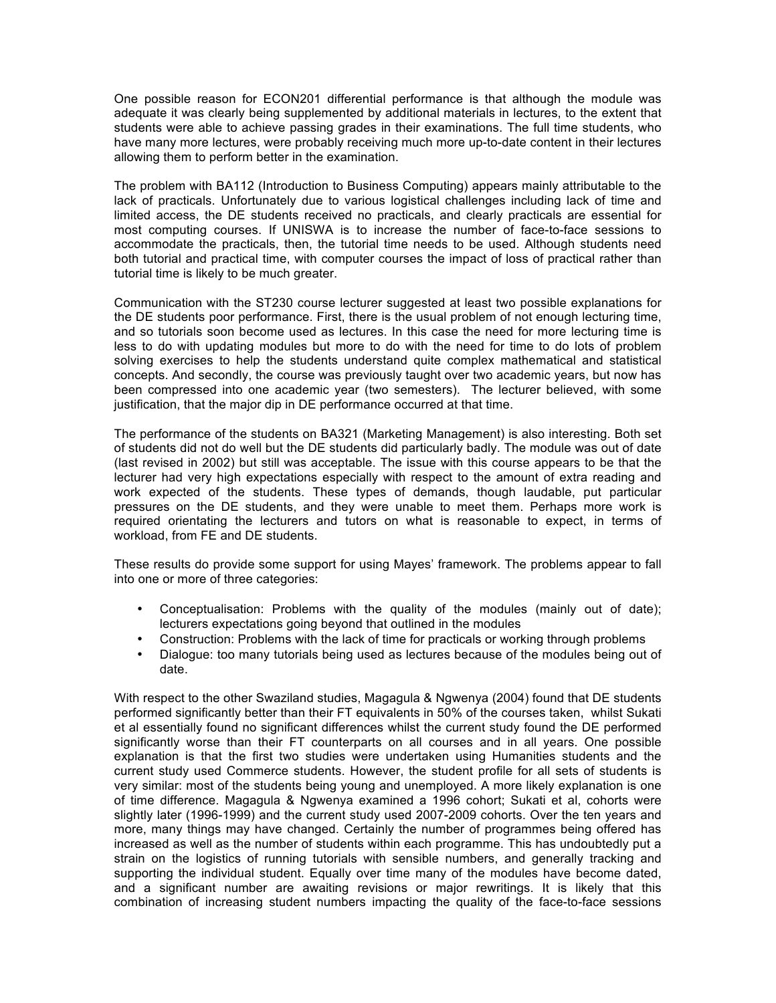One possible reason for ECON201 differential performance is that although the module was adequate it was clearly being supplemented by additional materials in lectures, to the extent that students were able to achieve passing grades in their examinations. The full time students, who have many more lectures, were probably receiving much more up-to-date content in their lectures allowing them to perform better in the examination.

The problem with BA112 (Introduction to Business Computing) appears mainly attributable to the lack of practicals. Unfortunately due to various logistical challenges including lack of time and limited access, the DE students received no practicals, and clearly practicals are essential for most computing courses. If UNISWA is to increase the number of face-to-face sessions to accommodate the practicals, then, the tutorial time needs to be used. Although students need both tutorial and practical time, with computer courses the impact of loss of practical rather than tutorial time is likely to be much greater.

Communication with the ST230 course lecturer suggested at least two possible explanations for the DE students poor performance. First, there is the usual problem of not enough lecturing time, and so tutorials soon become used as lectures. In this case the need for more lecturing time is less to do with updating modules but more to do with the need for time to do lots of problem solving exercises to help the students understand quite complex mathematical and statistical concepts. And secondly, the course was previously taught over two academic years, but now has been compressed into one academic year (two semesters). The lecturer believed, with some justification, that the major dip in DE performance occurred at that time.

The performance of the students on BA321 (Marketing Management) is also interesting. Both set of students did not do well but the DE students did particularly badly. The module was out of date (last revised in 2002) but still was acceptable. The issue with this course appears to be that the lecturer had very high expectations especially with respect to the amount of extra reading and work expected of the students. These types of demands, though laudable, put particular pressures on the DE students, and they were unable to meet them. Perhaps more work is required orientating the lecturers and tutors on what is reasonable to expect, in terms of workload, from FE and DE students.

These results do provide some support for using Mayes' framework. The problems appear to fall into one or more of three categories:

- Conceptualisation: Problems with the quality of the modules (mainly out of date); lecturers expectations going beyond that outlined in the modules
- Construction: Problems with the lack of time for practicals or working through problems
- Dialogue: too many tutorials being used as lectures because of the modules being out of date.

With respect to the other Swaziland studies, Magagula & Ngwenya (2004) found that DE students performed significantly better than their FT equivalents in 50% of the courses taken, whilst Sukati et al essentially found no significant differences whilst the current study found the DE performed significantly worse than their FT counterparts on all courses and in all years. One possible explanation is that the first two studies were undertaken using Humanities students and the current study used Commerce students. However, the student profile for all sets of students is very similar: most of the students being young and unemployed. A more likely explanation is one of time difference. Magagula & Ngwenya examined a 1996 cohort; Sukati et al, cohorts were slightly later (1996-1999) and the current study used 2007-2009 cohorts. Over the ten years and more, many things may have changed. Certainly the number of programmes being offered has increased as well as the number of students within each programme. This has undoubtedly put a strain on the logistics of running tutorials with sensible numbers, and generally tracking and supporting the individual student. Equally over time many of the modules have become dated, and a significant number are awaiting revisions or major rewritings. It is likely that this combination of increasing student numbers impacting the quality of the face-to-face sessions